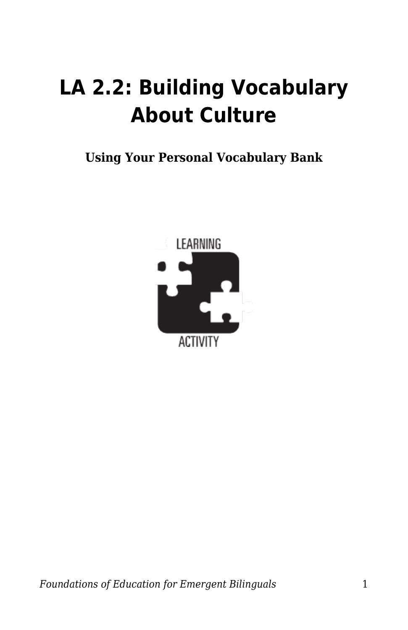## **LA 2.2: Building Vocabulary About Culture**

**Using Your Personal Vocabulary Bank**

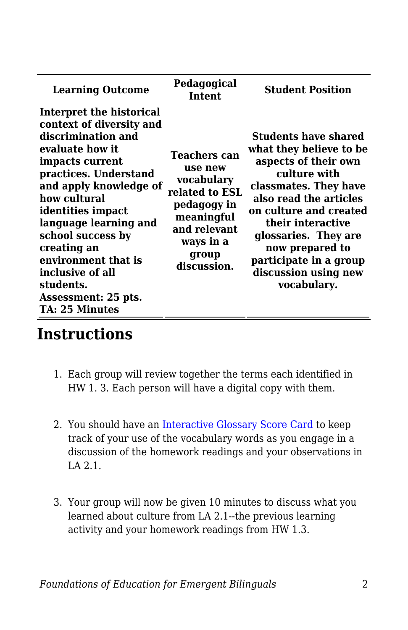| <b>Learning Outcome</b>                                                                                                                                                                                                                                                                                                                                                | Pedagogical<br><b>Intent</b>                                                                                                                     | <b>Student Position</b>                                                                                                                                                                                                                                                                                      |
|------------------------------------------------------------------------------------------------------------------------------------------------------------------------------------------------------------------------------------------------------------------------------------------------------------------------------------------------------------------------|--------------------------------------------------------------------------------------------------------------------------------------------------|--------------------------------------------------------------------------------------------------------------------------------------------------------------------------------------------------------------------------------------------------------------------------------------------------------------|
| Interpret the historical<br>context of diversity and<br>discrimination and<br>evaluate how it<br>impacts current<br>practices. Understand<br>and apply knowledge of<br>how cultural<br>identities impact<br>language learning and<br>school success by<br>creating an<br>environment that is<br>inclusive of all<br>students.<br>Assessment: 25 pts.<br>TA: 25 Minutes | <b>Teachers can</b><br>use new<br>vocabulary<br>related to ESL<br>pedagogy in<br>meaningful<br>and relevant<br>ways in a<br>group<br>discussion. | <b>Students have shared</b><br>what they believe to be<br>aspects of their own<br>culture with<br>classmates. They have<br>also read the articles<br>on culture and created<br>their interactive<br>glossaries. They are<br>now prepared to<br>participate in a group<br>discussion using new<br>vocabulary. |

## **Instructions**

- 1. Each group will review together the terms each identified in HW 1. 3. Each person will have a digital copy with them.
- 2. You should have an [Interactive Glossary Score Card](https://byu.box.com/s/877dzf3w87qorvwe7gid6ajqzwo8icy1) to keep track of your use of the vocabulary words as you engage in a discussion of the homework readings and your observations in LA 2.1.
- 3. Your group will now be given 10 minutes to discuss what you learned about culture from LA 2.1--the previous learning activity and your homework readings from HW 1.3.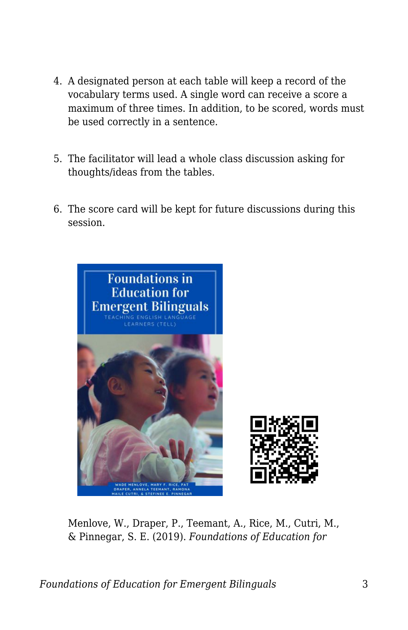- 4. A designated person at each table will keep a record of the vocabulary terms used. A single word can receive a score a maximum of three times. In addition, to be scored, words must be used correctly in a sentence.
- 5. The facilitator will lead a whole class discussion asking for thoughts/ideas from the tables.
- 6. The score card will be kept for future discussions during this session.



Menlove, W., Draper, P., Teemant, A., Rice, M., Cutri, M., & Pinnegar, S. E. (2019). *Foundations of Education for*